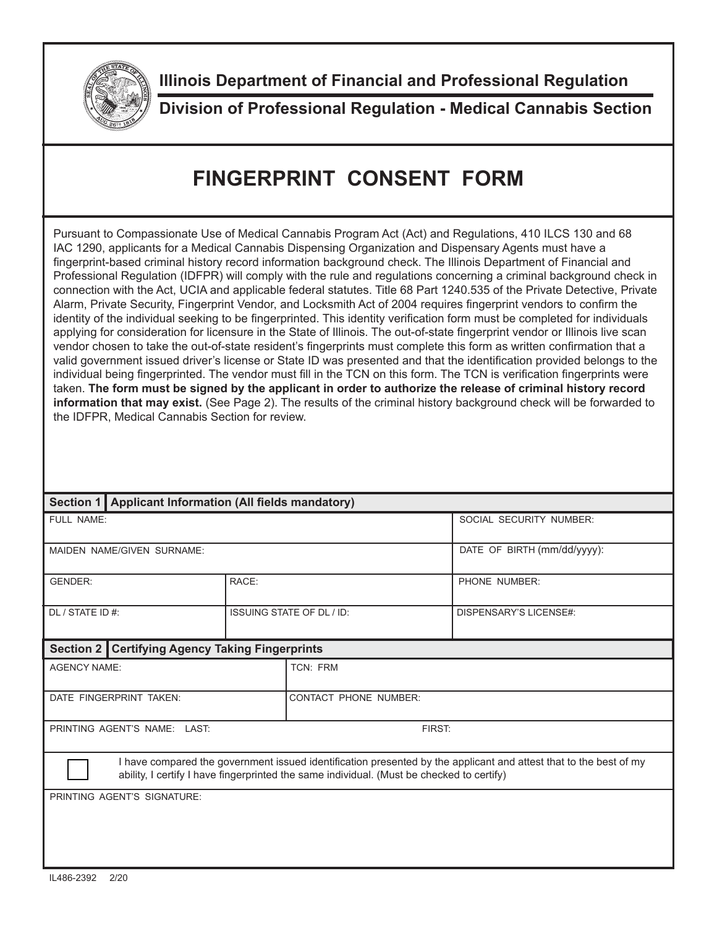

**Illinois Department of Financial and Professional Regulation**

**Division of Professional Regulation - Medical Cannabis Section**

## **FINGERPRINT CONSENT FORM**

Pursuant to Compassionate Use of Medical Cannabis Program Act (Act) and Regulations, 410 ILCS 130 and 68 IAC 1290, applicants for a Medical Cannabis Dispensing Organization and Dispensary Agents must have a fingerprint-based criminal history record information background check. The Illinois Department of Financial and Professional Regulation (IDFPR) will comply with the rule and regulations concerning a criminal background check in connection with the Act, UCIA and applicable federal statutes. Title 68 Part 1240.535 of the Private Detective, Private Alarm, Private Security, Fingerprint Vendor, and Locksmith Act of 2004 requires fingerprint vendors to confirm the identity of the individual seeking to be fingerprinted. This identity verification form must be completed for individuals applying for consideration for licensure in the State of Illinois. The out-of-state fingerprint vendor or Illinois live scan vendor chosen to take the out-of-state resident's fingerprints must complete this form as written confirmation that a valid government issued driver's license or State ID was presented and that the identification provided belongs to the individual being fingerprinted. The vendor must fill in the TCN on this form. The TCN is verification fingerprints were taken. **The form must be signed by the applicant in order to authorize the release of criminal history record information that may exist.** (See Page 2). The results of the criminal history background check will be forwarded to the IDFPR, Medical Cannabis Section for review.

|                                                                                                                                                                                                                | Section 1   Applicant Information (All fields mandatory)  |                                  |                              |                             |  |  |
|----------------------------------------------------------------------------------------------------------------------------------------------------------------------------------------------------------------|-----------------------------------------------------------|----------------------------------|------------------------------|-----------------------------|--|--|
| FULL NAME:                                                                                                                                                                                                     |                                                           |                                  |                              | SOCIAL SECURITY NUMBER:     |  |  |
| MAIDEN NAME/GIVEN SURNAME:                                                                                                                                                                                     |                                                           |                                  |                              | DATE OF BIRTH (mm/dd/yyyy): |  |  |
| <b>GENDER:</b>                                                                                                                                                                                                 |                                                           | RACE:                            |                              | PHONE NUMBER:               |  |  |
| DL / STATE ID #:                                                                                                                                                                                               |                                                           | <b>ISSUING STATE OF DL / ID:</b> |                              | DISPENSARY'S LICENSE#:      |  |  |
|                                                                                                                                                                                                                | <b>Certifying Agency Taking Fingerprints</b><br>Section 2 |                                  |                              |                             |  |  |
| <b>AGENCY NAME:</b>                                                                                                                                                                                            |                                                           |                                  | TCN: FRM                     |                             |  |  |
| DATE FINGERPRINT TAKEN:                                                                                                                                                                                        |                                                           |                                  | <b>CONTACT PHONE NUMBER:</b> |                             |  |  |
| PRINTING AGENT'S NAME: LAST.                                                                                                                                                                                   |                                                           |                                  | FIRST:                       |                             |  |  |
| I have compared the government issued identification presented by the applicant and attest that to the best of my<br>ability, I certify I have fingerprinted the same individual. (Must be checked to certify) |                                                           |                                  |                              |                             |  |  |
|                                                                                                                                                                                                                | PRINTING AGENT'S SIGNATURE:                               |                                  |                              |                             |  |  |